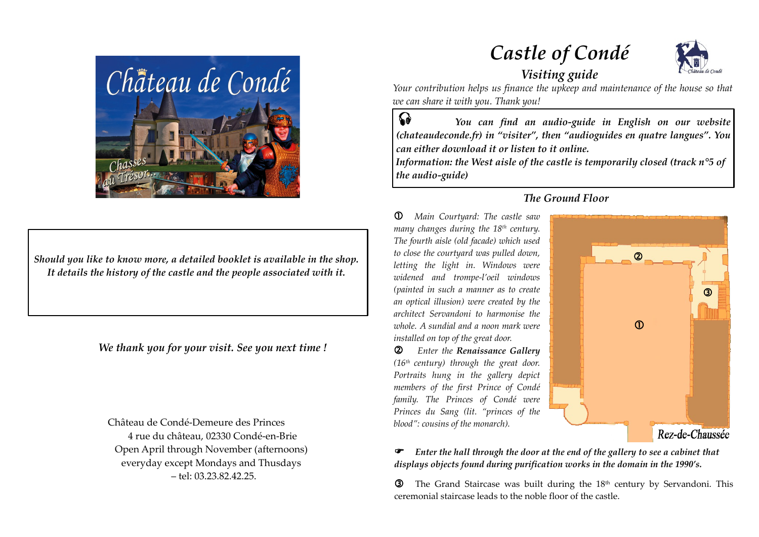

*Should you like to know more, a detailed booklet is available in the shop. It details the history of the castle and the people associated with it.*

*We thank you for your visit. See you next time !*

Château de Condé-Demeure des Princes 4 rue du château, 02330 Condé-en-Brie Open April through November (afternoons) everyday except Mondays and Thusdays – tel: 03.23.82.42.25.

*Castle of Condé*



# *Visiting guide*

*Your contribution helps us finance the upkeep and maintenance of the house so that we can share it with you. Thank you!*

 *You can find an audio-guide in English on our website (chateaudeconde.fr) in "visiter", then "audioguides en quatre langues". You can either download it or listen to it online.*   $\Omega$ 

*Information: the West aisle of the castle is temporarily closed (track n°5 of the audio-guide)*

*The Ground Floor*

 *Main Courtyard: The castle saw many changes during the 18th century. The fourth aisle (old facade) which used to close the courtyard was pulled down, letting the light in. Windows were widened and trompe-l'oeil windows (painted in such a manner as to create an optical illusion) were created by the architect Servandoni to harmonise the whole. A sundial and a noon mark were installed on top of the great door.*

 *Enter the Renaissance Gallery (16th century) through the great door. Portraits hung in the gallery depict members of the first Prince of Condé family. The Princes of Condé were Princes du Sang (lit. "princes of the blood": cousins of the monarch).*

# $\circledcirc$  $\circ$  $\mathcal{D}$ Rez-de-Chaussée

 *Enter the hall through the door at the end of the gallery to see a cabinet that displays objects found during purification works in the domain in the 1990's.*

**3** The Grand Staircase was built during the  $18<sup>th</sup>$  century by Servandoni. This ceremonial staircase leads to the noble floor of the castle.